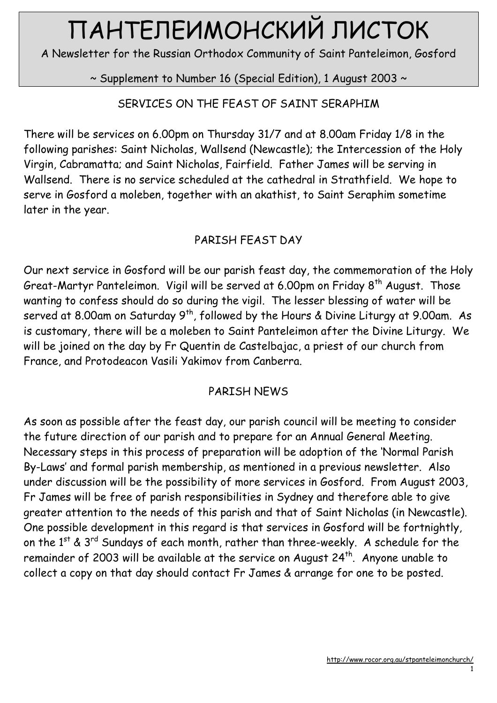# ПАНТЕЛЕИМОНСКИЙ ЛИСТОК

A Newsletter for the Russian Orthodox Community of Saint Panteleimon, Gosford

~ Supplement to Number 16 (Special Edition), 1 August 2003 ~

## SERVICES ON THE FEAST OF SAINT SERAPHIM

There will be services on 6.00pm on Thursday 31/7 and at 8.00am Friday 1/8 in the following parishes: Saint Nicholas, Wallsend (Newcastle); the Intercession of the Holy Virgin, Cabramatta; and Saint Nicholas, Fairfield. Father James will be serving in Wallsend. There is no service scheduled at the cathedral in Strathfield. We hope to serve in Gosford a moleben, together with an akathist, to Saint Seraphim sometime later in the year.

## PARISH FEAST DAY

Our next service in Gosford will be our parish feast day, the commemoration of the Holy Great-Martyr Panteleimon. Vigil will be served at 6.00pm on Friday 8<sup>th</sup> August. Those wanting to confess should do so during the vigil. The lesser blessing of water will be served at 8.00am on Saturday  $9<sup>th</sup>$ , followed by the Hours & Divine Liturgy at 9.00am. As is customary, there will be a moleben to Saint Panteleimon after the Divine Liturgy. We will be joined on the day by Fr Quentin de Castelbajac, a priest of our church from France, and Protodeacon Vasili Yakimov from Canberra.

### PARISH NEWS

As soon as possible after the feast day, our parish council will be meeting to consider the future direction of our parish and to prepare for an Annual General Meeting. Necessary steps in this process of preparation will be adoption of the 'Normal Parish By-Laws' and formal parish membership, as mentioned in a previous newsletter. Also under discussion will be the possibility of more services in Gosford. From August 2003, Fr James will be free of parish responsibilities in Sydney and therefore able to give greater attention to the needs of this parish and that of Saint Nicholas (in Newcastle). One possible development in this regard is that services in Gosford will be fortnightly, on the  $1<sup>st</sup>$  &  $3<sup>rd</sup>$  Sundays of each month, rather than three-weekly. A schedule for the remainder of 2003 will be available at the service on August 24<sup>th</sup>. Anyone unable to collect a copy on that day should contact Fr James & arrange for one to be posted.